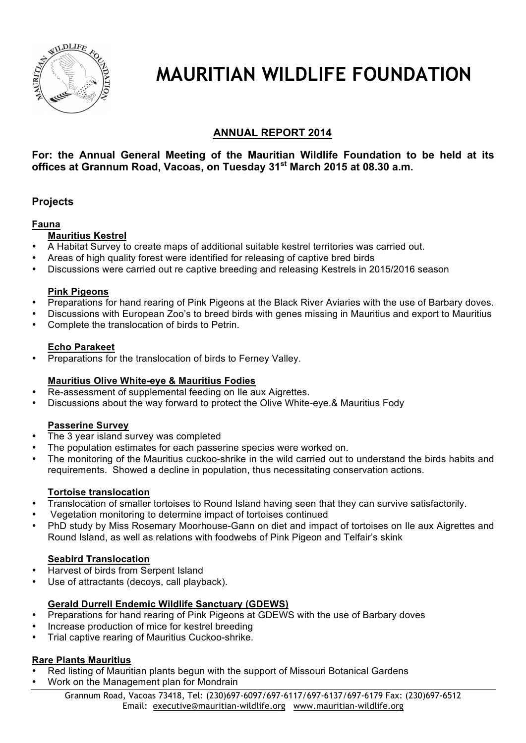

# **MAURITIAN WILDLIFE FOUNDATION**

## **ANNUAL REPORT 2014**

## **For: the Annual General Meeting of the Mauritian Wildlife Foundation to be held at its offices at Grannum Road, Vacoas, on Tuesday 31st March 2015 at 08.30 a.m.**

## **Projects**

#### **Fauna**

## **Mauritius Kestrel**

- A Habitat Survey to create maps of additional suitable kestrel territories was carried out.
- Areas of high quality forest were identified for releasing of captive bred birds
- Discussions were carried out re captive breeding and releasing Kestrels in 2015/2016 season

#### **Pink Pigeons**

- **Preparations for hand rearing of Pink Pigeons at the Black River Aviaries with the use of Barbary doves.**
- Discussions with European Zoo's to breed birds with genes missing in Mauritius and export to Mauritius
- Complete the translocation of birds to Petrin.

#### **Echo Parakeet**

• Preparations for the translocation of birds to Ferney Valley.

## **Mauritius Olive White-eye & Mauritius Fodies**

- Re-assessment of supplemental feeding on Ile aux Aigrettes.
- Discussions about the way forward to protect the Olive White-eye.& Mauritius Fody

## **Passerine Survey**

- The 3 year island survey was completed
- The population estimates for each passerine species were worked on.
- The monitoring of the Mauritius cuckoo-shrike in the wild carried out to understand the birds habits and requirements. Showed a decline in population, thus necessitating conservation actions.

## **Tortoise translocation**

- Translocation of smaller tortoises to Round Island having seen that they can survive satisfactorily.
- Vegetation monitoring to determine impact of tortoises continued
- PhD study by Miss Rosemary Moorhouse-Gann on diet and impact of tortoises on Ile aux Aigrettes and Round Island, as well as relations with foodwebs of Pink Pigeon and Telfair's skink

## **Seabird Translocation**

- Harvest of birds from Serpent Island
- Use of attractants (decoys, call playback).

## **Gerald Durrell Endemic Wildlife Sanctuary (GDEWS)**

- **Preparations for hand rearing of Pink Pigeons at GDEWS with the use of Barbary doves**
- Increase production of mice for kestrel breeding
- Trial captive rearing of Mauritius Cuckoo-shrike.

## **Rare Plants Mauritius**

- Red listing of Mauritian plants begun with the support of Missouri Botanical Gardens
- Work on the Management plan for Mondrain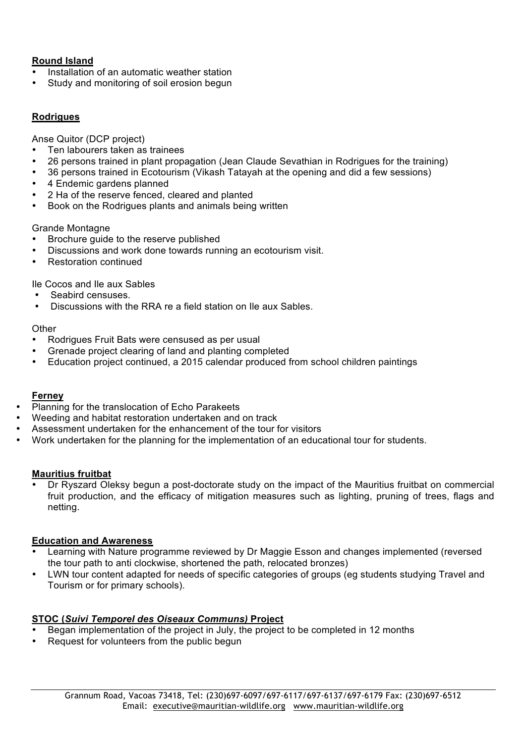## **Round Island**

- Installation of an automatic weather station
- Study and monitoring of soil erosion begun

## **Rodrigues**

Anse Quitor (DCP project)

- Ten labourers taken as trainees
- 26 persons trained in plant propagation (Jean Claude Sevathian in Rodrigues for the training)
- 36 persons trained in Ecotourism (Vikash Tatayah at the opening and did a few sessions)
- 4 Endemic gardens planned
- 2 Ha of the reserve fenced, cleared and planted
- Book on the Rodrigues plants and animals being written

#### Grande Montagne

- Brochure guide to the reserve published
- Discussions and work done towards running an ecotourism visit.
- Restoration continued

Ile Cocos and Ile aux Sables

- Seabird censuses.
- Discussions with the RRA re a field station on Ile aux Sables.

#### **Other**

- Rodrigues Fruit Bats were censused as per usual
- Grenade project clearing of land and planting completed
- Education project continued, a 2015 calendar produced from school children paintings

#### **Ferney**

- Planning for the translocation of Echo Parakeets
- Weeding and habitat restoration undertaken and on track
- Assessment undertaken for the enhancement of the tour for visitors
- Work undertaken for the planning for the implementation of an educational tour for students.

#### **Mauritius fruitbat**

• Dr Ryszard Oleksy begun a post-doctorate study on the impact of the Mauritius fruitbat on commercial fruit production, and the efficacy of mitigation measures such as lighting, pruning of trees, flags and netting.

#### **Education and Awareness**

- Learning with Nature programme reviewed by Dr Maggie Esson and changes implemented (reversed the tour path to anti clockwise, shortened the path, relocated bronzes)
- LWN tour content adapted for needs of specific categories of groups (eg students studying Travel and Tourism or for primary schools).

## **STOC (***Suivi Temporel des Oiseaux Communs)* **Project**

- Began implementation of the project in July, the project to be completed in 12 months
- Request for volunteers from the public begun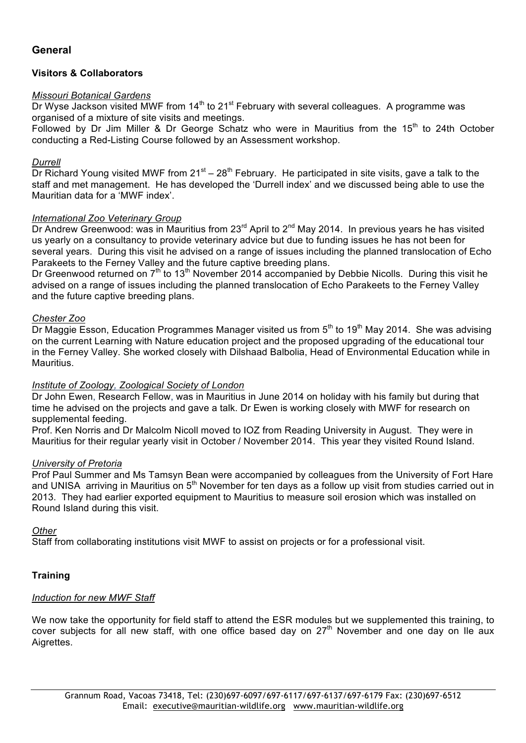## **General**

#### **Visitors & Collaborators**

#### *Missouri Botanical Gardens*

Dr Wyse Jackson visited MWF from  $14<sup>th</sup>$  to 21<sup>st</sup> February with several colleagues. A programme was organised of a mixture of site visits and meetings.

Followed by Dr Jim Miller & Dr George Schatz who were in Mauritius from the 15<sup>th</sup> to 24th October conducting a Red-Listing Course followed by an Assessment workshop.

#### *Durrell*

 $\overline{D}$  Dr Richard Young visited MWF from 21<sup>st</sup> – 28<sup>th</sup> February. He participated in site visits, gave a talk to the staff and met management. He has developed the 'Durrell index' and we discussed being able to use the Mauritian data for a 'MWF index'.

#### *International Zoo Veterinary Group*

Dr Andrew Greenwood: was in Mauritius from 23<sup>rd</sup> April to 2<sup>nd</sup> May 2014. In previous years he has visited us yearly on a consultancy to provide veterinary advice but due to funding issues he has not been for several years. During this visit he advised on a range of issues including the planned translocation of Echo Parakeets to the Ferney Valley and the future captive breeding plans.

Dr Greenwood returned on  $7<sup>th</sup>$  to 13<sup>th</sup> November 2014 accompanied by Debbie Nicolls. During this visit he advised on a range of issues including the planned translocation of Echo Parakeets to the Ferney Valley and the future captive breeding plans.

#### *Chester Zoo*

Dr Maggie Esson, Education Programmes Manager visited us from  $5<sup>th</sup>$  to 19<sup>th</sup> May 2014. She was advising on the current Learning with Nature education project and the proposed upgrading of the educational tour in the Ferney Valley. She worked closely with Dilshaad Balbolia, Head of Environmental Education while in Mauritius.

#### *Institute of Zoology, Zoological Society of London*

Dr John Ewen, Research Fellow, was in Mauritius in June 2014 on holiday with his family but during that time he advised on the projects and gave a talk. Dr Ewen is working closely with MWF for research on supplemental feeding.

Prof. Ken Norris and Dr Malcolm Nicoll moved to IOZ from Reading University in August. They were in Mauritius for their regular yearly visit in October / November 2014. This year they visited Round Island.

#### *University of Pretoria*

Prof Paul Summer and Ms Tamsyn Bean were accompanied by colleagues from the University of Fort Hare and UNISA arriving in Mauritius on  $5<sup>th</sup>$  November for ten days as a follow up visit from studies carried out in 2013. They had earlier exported equipment to Mauritius to measure soil erosion which was installed on Round Island during this visit.

#### *Other*

Staff from collaborating institutions visit MWF to assist on projects or for a professional visit.

## **Training**

## *Induction for new MWF Staff*

We now take the opportunity for field staff to attend the ESR modules but we supplemented this training, to cover subjects for all new staff, with one office based day on 27<sup>th</sup> November and one day on Ile aux Aigrettes.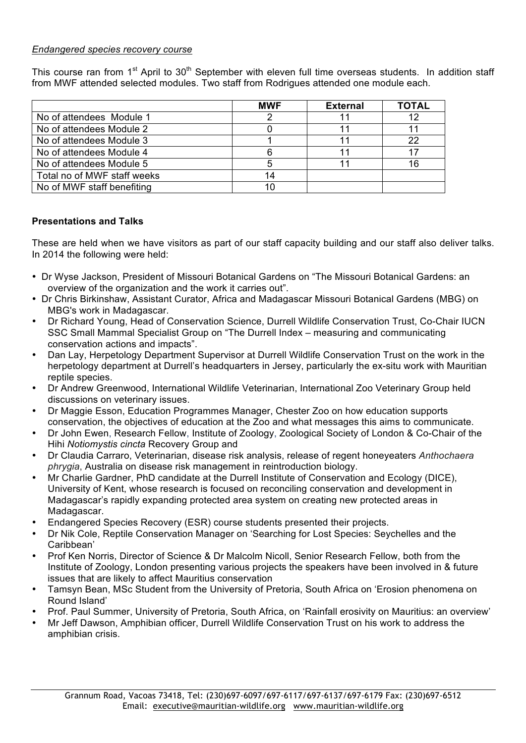#### *Endangered species recovery course*

This course ran from 1<sup>st</sup> April to 30<sup>th</sup> September with eleven full time overseas students. In addition staff from MWF attended selected modules. Two staff from Rodrigues attended one module each.

|                             | <b>MWF</b> | <b>External</b> | <b>TOTAL</b> |
|-----------------------------|------------|-----------------|--------------|
| No of attendees Module 1    |            | 11              | 12           |
| No of attendees Module 2    |            |                 |              |
| No of attendees Module 3    |            | 11              | 22           |
| No of attendees Module 4    |            |                 |              |
| No of attendees Module 5    |            |                 | 16           |
| Total no of MWF staff weeks | 14         |                 |              |
| No of MWF staff benefiting  | 10         |                 |              |

## **Presentations and Talks**

These are held when we have visitors as part of our staff capacity building and our staff also deliver talks. In 2014 the following were held:

- Dr Wyse Jackson, President of Missouri Botanical Gardens on "The Missouri Botanical Gardens: an overview of the organization and the work it carries out".
- Dr Chris Birkinshaw, Assistant Curator, Africa and Madagascar Missouri Botanical Gardens (MBG) on MBG's work in Madagascar.
- Dr Richard Young, Head of Conservation Science, Durrell Wildlife Conservation Trust, Co-Chair IUCN SSC Small Mammal Specialist Group on "The Durrell Index – measuring and communicating conservation actions and impacts".
- Dan Lay, Herpetology Department Supervisor at Durrell Wildlife Conservation Trust on the work in the herpetology department at Durrell's headquarters in Jersey, particularly the ex-situ work with Mauritian reptile species.
- Dr Andrew Greenwood, International Wildlife Veterinarian, International Zoo Veterinary Group held discussions on veterinary issues.
- Dr Maggie Esson, Education Programmes Manager, Chester Zoo on how education supports conservation, the objectives of education at the Zoo and what messages this aims to communicate.
- Dr John Ewen, Research Fellow, Institute of Zoology, Zoological Society of London & Co-Chair of the Hihi *Notiomystis cincta* Recovery Group and
- Dr Claudia Carraro, Veterinarian, disease risk analysis, release of regent honeyeaters *Anthochaera phrygia*, Australia on disease risk management in reintroduction biology.
- Mr Charlie Gardner, PhD candidate at the Durrell Institute of Conservation and Ecology (DICE), University of Kent, whose research is focused on reconciling conservation and development in Madagascar's rapidly expanding protected area system on creating new protected areas in Madagascar.
- Endangered Species Recovery (ESR) course students presented their projects.
- Dr Nik Cole, Reptile Conservation Manager on 'Searching for Lost Species: Seychelles and the Caribbean'
- Prof Ken Norris, Director of Science & Dr Malcolm Nicoll, Senior Research Fellow, both from the Institute of Zoology, London presenting various projects the speakers have been involved in & future issues that are likely to affect Mauritius conservation
- Tamsyn Bean, MSc Student from the University of Pretoria, South Africa on 'Erosion phenomena on Round Island'
- Prof. Paul Summer, University of Pretoria, South Africa, on 'Rainfall erosivity on Mauritius: an overview'
- Mr Jeff Dawson, Amphibian officer, Durrell Wildlife Conservation Trust on his work to address the amphibian crisis.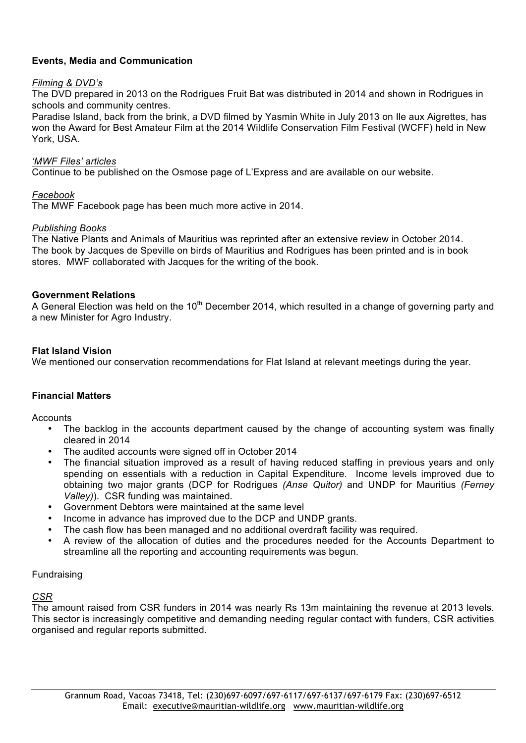## **Events, Media and Communication**

#### *Filming & DVD's*

The DVD prepared in 2013 on the Rodrigues Fruit Bat was distributed in 2014 and shown in Rodrigues in schools and community centres.

Paradise Island, back from the brink, *a* DVD filmed by Yasmin White in July 2013 on Ile aux Aigrettes, has won the Award for Best Amateur Film at the 2014 Wildlife Conservation Film Festival (WCFF) held in New York, USA.

#### *'MWF Files' articles*

Continue to be published on the Osmose page of L'Express and are available on our website.

#### *Facebook*

The MWF Facebook page has been much more active in 2014.

#### *Publishing Books*

The Native Plants and Animals of Mauritius was reprinted after an extensive review in October 2014. The book by Jacques de Speville on birds of Mauritius and Rodrigues has been printed and is in book stores. MWF collaborated with Jacques for the writing of the book.

#### **Government Relations**

A General Election was held on the 10<sup>th</sup> December 2014, which resulted in a change of governing party and a new Minister for Agro Industry.

#### **Flat Island Vision**

We mentioned our conservation recommendations for Flat Island at relevant meetings during the year.

#### **Financial Matters**

Accounts

- The backlog in the accounts department caused by the change of accounting system was finally cleared in 2014
- The audited accounts were signed off in October 2014
- The financial situation improved as a result of having reduced staffing in previous years and only spending on essentials with a reduction in Capital Expenditure. Income levels improved due to obtaining two major grants (DCP for Rodrigues *(Anse Quitor)* and UNDP for Mauritius *(Ferney Valley)*). CSR funding was maintained.
- Government Debtors were maintained at the same level
- Income in advance has improved due to the DCP and UNDP grants.
- The cash flow has been managed and no additional overdraft facility was required.
- A review of the allocation of duties and the procedures needed for the Accounts Department to streamline all the reporting and accounting requirements was begun.

#### Fundraising

#### *CSR*

The amount raised from CSR funders in 2014 was nearly Rs 13m maintaining the revenue at 2013 levels. This sector is increasingly competitive and demanding needing regular contact with funders, CSR activities organised and regular reports submitted.